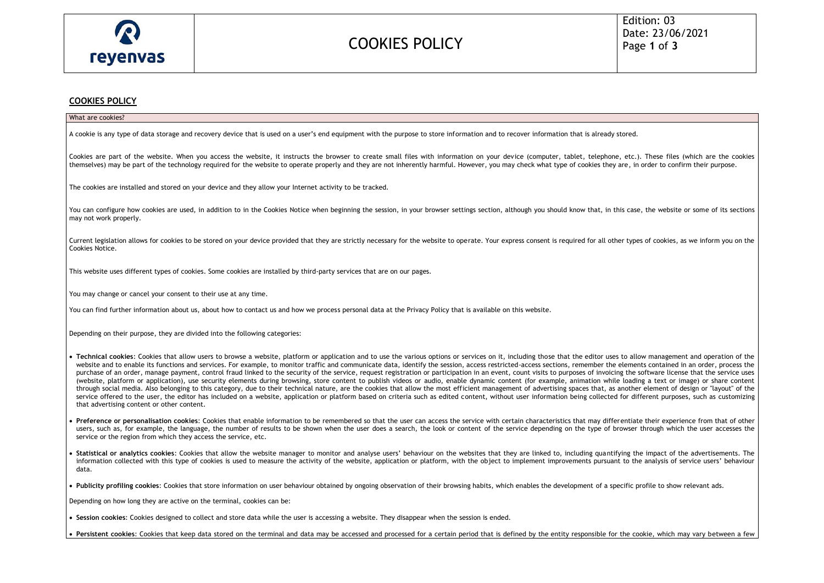

### COOKIES POLICY

### **COOKIES POLICY**

| What are cookies?                                                                                                                                                                                                                                                                                                                                                                                                                                                                                                                                                                                                                                                                                                                                                                                                                                                                                                                                                                                                                                                                                                                                                                                                                                                                                                                                                                                                         |
|---------------------------------------------------------------------------------------------------------------------------------------------------------------------------------------------------------------------------------------------------------------------------------------------------------------------------------------------------------------------------------------------------------------------------------------------------------------------------------------------------------------------------------------------------------------------------------------------------------------------------------------------------------------------------------------------------------------------------------------------------------------------------------------------------------------------------------------------------------------------------------------------------------------------------------------------------------------------------------------------------------------------------------------------------------------------------------------------------------------------------------------------------------------------------------------------------------------------------------------------------------------------------------------------------------------------------------------------------------------------------------------------------------------------------|
| A cookie is any type of data storage and recovery device that is used on a user's end equipment with the purpose to store information and to recover information that is already stored.                                                                                                                                                                                                                                                                                                                                                                                                                                                                                                                                                                                                                                                                                                                                                                                                                                                                                                                                                                                                                                                                                                                                                                                                                                  |
| Cookies are part of the website. When you access the website, it instructs the browser to create small files with information on your device (computer, tablet, telephone, etc.). These files (which are the cookies<br>themselves) may be part of the technology required for the website to operate properly and they are not inherently harmful. However, you may check what type of cookies they are, in order to confirm their purpose.                                                                                                                                                                                                                                                                                                                                                                                                                                                                                                                                                                                                                                                                                                                                                                                                                                                                                                                                                                              |
| The cookies are installed and stored on your device and they allow your Internet activity to be tracked.                                                                                                                                                                                                                                                                                                                                                                                                                                                                                                                                                                                                                                                                                                                                                                                                                                                                                                                                                                                                                                                                                                                                                                                                                                                                                                                  |
| You can configure how cookies are used, in addition to in the Cookies Notice when beginning the session, in your browser settings section, although you should know that, in this case, the website or some of its sections<br>may not work properly.                                                                                                                                                                                                                                                                                                                                                                                                                                                                                                                                                                                                                                                                                                                                                                                                                                                                                                                                                                                                                                                                                                                                                                     |
| Current legislation allows for cookies to be stored on your device provided that they are strictly necessary for the website to operate. Your express consent is required for all other types of cookies, as we inform you on<br>Cookies Notice.                                                                                                                                                                                                                                                                                                                                                                                                                                                                                                                                                                                                                                                                                                                                                                                                                                                                                                                                                                                                                                                                                                                                                                          |
| This website uses different types of cookies. Some cookies are installed by third-party services that are on our pages.                                                                                                                                                                                                                                                                                                                                                                                                                                                                                                                                                                                                                                                                                                                                                                                                                                                                                                                                                                                                                                                                                                                                                                                                                                                                                                   |
| You may change or cancel your consent to their use at any time.                                                                                                                                                                                                                                                                                                                                                                                                                                                                                                                                                                                                                                                                                                                                                                                                                                                                                                                                                                                                                                                                                                                                                                                                                                                                                                                                                           |
| You can find further information about us, about how to contact us and how we process personal data at the Privacy Policy that is available on this website.                                                                                                                                                                                                                                                                                                                                                                                                                                                                                                                                                                                                                                                                                                                                                                                                                                                                                                                                                                                                                                                                                                                                                                                                                                                              |
| Depending on their purpose, they are divided into the following categories:                                                                                                                                                                                                                                                                                                                                                                                                                                                                                                                                                                                                                                                                                                                                                                                                                                                                                                                                                                                                                                                                                                                                                                                                                                                                                                                                               |
| • Technical cookies: Cookies that allow users to browse a website, platform or application and to use the various options or services on it, including those that the editor uses to allow management and operation of the<br>website and to enable its functions and services. For example, to monitor traffic and communicate data, identify the session, access restricted-access sections, remember the elements contained in an order, process the<br>purchase of an order, manage payment, control fraud linked to the security of the service, request registration or participation in an event, count visits to purposes of invoicing the software license that the service uses<br>(website, platform or application), use security elements during browsing, store content to publish videos or audio, enable dynamic content (for example, animation while loading a text or image) or share content<br>through social media. Also belonging to this category, due to their technical nature, are the cookies that allow the most efficient management of advertising spaces that, as another element of design or "layout" of the<br>service offered to the user, the editor has included on a website, application or platform based on criteria such as edited content, without user information being collected for different purposes, such as customizing<br>that advertising content or other content. |
| Preference or personalisation cookies: Cookies that enable information to be remembered so that the user can access the service with certain characteristics that may differentiate their experience from that of other<br>users, such as, for example, the language, the number of results to be shown when the user does a search, the look or content of the service depending on the type of browser through which the user accesses the<br>service or the region from which they access the service, etc.                                                                                                                                                                                                                                                                                                                                                                                                                                                                                                                                                                                                                                                                                                                                                                                                                                                                                                            |
| Statistical or analytics cookies: Cookies that allow the website manager to monitor and analyse users' behaviour on the websites that they are linked to, including quantifying the impact of the advertisements. The<br>information collected with this type of cookies is used to measure the activity of the website, application or platform, with the object to implement improvements pursuant to the analysis of service users' behaviour<br>data.                                                                                                                                                                                                                                                                                                                                                                                                                                                                                                                                                                                                                                                                                                                                                                                                                                                                                                                                                                 |
| • Publicity profiling cookies: Cookies that store information on user behaviour obtained by ongoing observation of their browsing habits, which enables the development of a specific profile to show relevant ads.                                                                                                                                                                                                                                                                                                                                                                                                                                                                                                                                                                                                                                                                                                                                                                                                                                                                                                                                                                                                                                                                                                                                                                                                       |
| Depending on how long they are active on the terminal, cookies can be:                                                                                                                                                                                                                                                                                                                                                                                                                                                                                                                                                                                                                                                                                                                                                                                                                                                                                                                                                                                                                                                                                                                                                                                                                                                                                                                                                    |

• **Session cookies**: Cookies designed to collect and store data while the user is accessing a website. They disappear when the session is ended.

• **Persistent cookies**: Cookies that keep data stored on the terminal and data may be accessed and processed for a certain period that is defined by the entity responsible for the cookie, which may vary between a few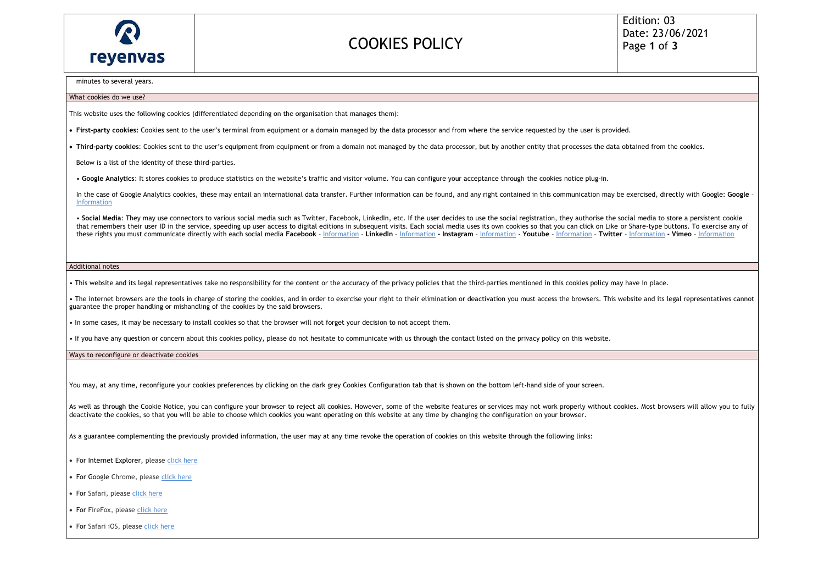

## COOKIES POLICY

minutes to several years.

#### What cookies do we use?

This website uses the following cookies (differentiated depending on the organisation that manages them):

- **First-party cookies:** Cookies sent to the user's terminal from equipment or a domain managed by the data processor and from where the service requested by the user is provided.
- **Third-party cookies**: Cookies sent to the user's equipment from equipment or from a domain not managed by the data processor, but by another entity that processes the data obtained from the cookies.

Below is a list of the identity of these third-parties.

• **Google Analytics**: It stores cookies to produce statistics on the website's traffic and visitor volume. You can configure your acceptance through the cookies notice plug-in.

In the case of Google Analytics cookies, these may entail an international data transfer. Further information can be found, and any right contained in this communication may be exercised, directly with Google: Google [Information](about:blank)

. Social Media: They may use connectors to various social media such as Twitter, Facebook, LinkedIn, etc. If the user decides to use the social registration, they authorise the social media to store a persistent cookie that remembers their user ID in the service, speeding up user access to digital editions in subsequent visits. Each social media uses its own cookies so that you can click on Like or Share-type buttons. To exercise any of these rights you must communicate directly with each social media Facebook - [Information](about:blank) - LinkedIn - Information - Instagram - Information - Youtube - Information - Twitter - Information - Vimeo - Information - Vimeo - In

#### Additional notes

• This website and its legal representatives take no responsibility for the content or the accuracy of the privacy policies that the third-parties mentioned in this cookies policy may have in place.

• The internet browsers are the tools in charge of storing the cookies, and in order to exercise your right to their elimination or deactivation you must access the browsers. This website and its legal representatives cann guarantee the proper handling or mishandling of the cookies by the said browsers.

• In some cases, it may be necessary to install cookies so that the browser will not forget your decision to not accept them.

• If you have any question or concern about this cookies policy, please do not hesitate to communicate with us through the contact listed on the privacy policy on this website.

Ways to reconfigure or deactivate cookies

You may, at any time, reconfigure your cookies preferences by clicking on the dark grey Cookies Configuration tab that is shown on the bottom left-hand side of your screen.

As well as through the Cookie Notice, you can configure your browser to reject all cookies. However, some of the website features or services may not work properly without cookies. Most browsers will allow you to fully deactivate the cookies, so that you will be able to choose which cookies you want operating on this website at any time by changing the configuration on your browser.

As a guarantee complementing the previously provided information, the user may at any time revoke the operation of cookies on this website through the following links:

- For Internet Explorer, please [click here](about:blank)
- For Google Chrome, please [click here](about:blank)
- For Safari, pleas[e click here](about:blank)
- For FireFox, pleas[e click here](about:blank)
- For Safari iOS, pleas[e click here](about:blank)